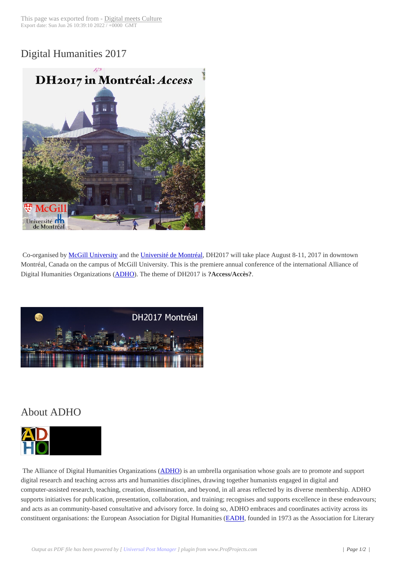## Digital Humanities [2017](http://www.digitalmeetsculture.net/?p=43609)



Co-organised by McGill University and the Université de Montréal, DH2017 will take place August 8-11, 2017 in downtown Montréal, Canada on the campus of McGill University. This is the premiere annual conference of the international Alliance of Digital Humanities Organizations (ADHO). The theme of DH2017 is **?Access/Accès?**.



## About ADHO



 The Alliance of Digital Humanities Organizations (ADHO) is an umbrella organisation whose goals are to promote and support digital research and teaching across arts and humanities disciplines, drawing together humanists engaged in digital and computer-assisted research, teaching, creation, dissemination, and beyond, in all areas reflected by its diverse membership. ADHO supports initiatives for publication, presentation, collaboration, and training; recognises and supports excellence in these endeavours; and acts as an community-based consultative and a[dvisory f](http://adho.org/)orce. In doing so, ADHO embraces and coordinates activity across its constituent organisations: the European Association for Digital Humanities (EADH, founded in 1973 as the Association for Literary